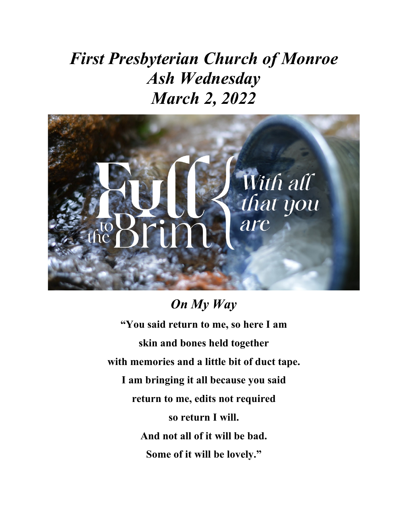# *First Presbyterian Church of Monroe Ash Wednesday March 2, 2022*



# *On My Way* **"You said return to me, so here I am skin and bones held together with memories and a little bit of duct tape. I am bringing it all because you said return to me, edits not required so return I will. And not all of it will be bad. Some of it will be lovely."**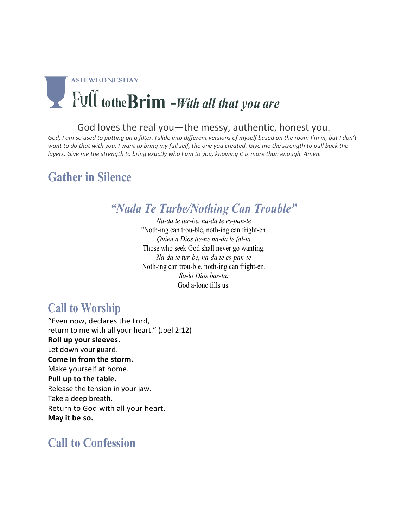

### God loves the real you—the messy, authentic, honest you.

God, I am so used to putting on a filter. I slide into different versions of myself based on the room I'm in, but I don't want to do that with you. I want to bring my full self, the one you created. Give me the strength to pull back the layers. Give me the strength to bring exactly who I am to you, knowing it is more than enough. Amen.

## **Gather in Silence**

## *"Nada Te Turbe/Nothing Can Trouble"*

*Na-da te tur-be, na-da te es-pan-te "*Noth-ing can trou-ble, noth-ing can fright-en*. Quien a Dios tie-ne na-da le fal-ta*  Those who seek God shall never go wanting. *Na-da te tur-be, na-da te es-pan-te* Noth-ing can trou-ble, noth-ing can fright-en*. So-lo Dios bas-ta.* God a-lone fills us.

## **Call to Worship**

"Even now, declares the Lord, return to me with all your heart." (Joel 2:12) **Roll up yoursleeves.** Let down your guard. **Come in from the storm.**  Make yourself at home. **Pull up to the table.** Release the tension in your jaw. Take a deep breath. Return to God with all your heart. **May it be so.**

## **Call to Confession**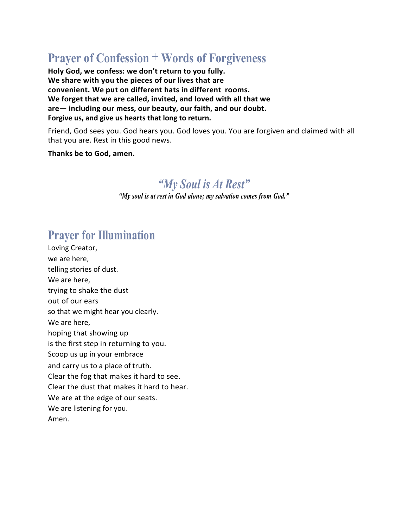## **Prayer of Confession** + **Words of Forgiveness**

**Holy God, we confess: we don't return to you fully. We share with you the pieces of our lives that are convenient. We put on different hats in different rooms. We forget that we are called, invited, and loved with all that we are— including our mess, our beauty, our faith, and our doubt. Forgive us, and give us hearts that long to return.**

Friend, God sees you. God hears you. God loves you. You are forgiven and claimed with all that you are. Rest in this good news.

### **Thanks be to God, amen.**

## *"My Soul is At Rest"*

*"My soul is at rest in God alone; my salvation comes from God."*

## **Prayer for Illumination**

Loving Creator, we are here, telling stories of dust. We are here, trying to shake the dust out of our ears so that we might hear you clearly. We are here, hoping that showing up is the first step in returning to you. Scoop us up in your embrace and carry us to a place of truth. Clear the fog that makes it hard to see. Clear the dust that makes it hard to hear. We are at the edge of our seats. We are listening for you. Amen.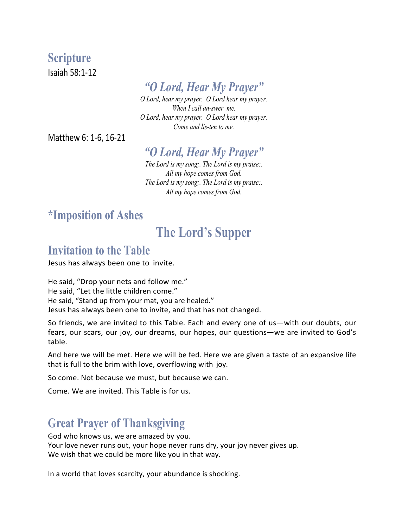## **Scripture**

Isaiah 58:1-12

## *"O Lord, Hear My Prayer"*

*O Lord, hear my prayer. O Lord hear my prayer. When I call an-swer me. O Lord, hear my prayer. O Lord hear my prayer. Come and lis-ten to me.*

Matthew 6: 1-6, 16-21

## *"O Lord, Hear My Prayer"*

*The Lord is my song;. The Lord is my praise:. All my hope comes from God. The Lord is my song;. The Lord is my praise:. All my hope comes from God.*

## **\*Imposition of Ashes**

## **The Lord's Supper**

## **Invitation to the Table**

Jesus has always been one to invite.

He said, "Drop your nets and follow me." He said, "Let the little children come." He said, "Stand up from your mat, you are healed." Jesus has always been one to invite, and that has not changed.

So friends, we are invited to this Table. Each and every one of us—with our doubts, our fears, our scars, our joy, our dreams, our hopes, our questions—we are invited to God's table.

And here we will be met. Here we will be fed. Here we are given a taste of an expansive life that is full to the brim with love, overflowing with joy.

So come. Not because we must, but because we can.

Come. We are invited. This Table is for us.

## **Great Prayer of Thanksgiving**

God who knows us, we are amazed by you. Your love never runs out, your hope never runs dry, your joy never gives up. We wish that we could be more like you in that way.

In a world that loves scarcity, your abundance is shocking.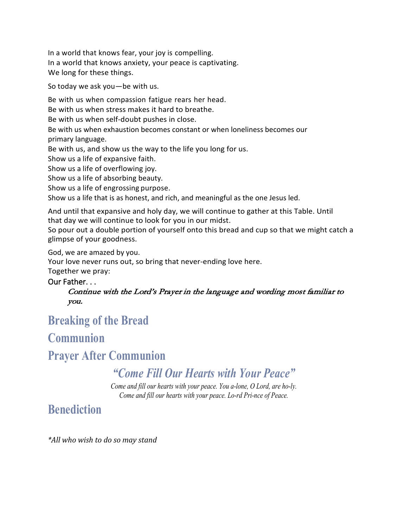In a world that knows fear, your joy is compelling. In a world that knows anxiety, your peace is captivating. We long for these things.

So today we ask you—be with us.

Be with us when compassion fatigue rears her head. Be with us when stress makes it hard to breathe. Be with us when self-doubt pushes in close. Be with us when exhaustion becomes constant or when loneliness becomes our primary language. Be with us, and show us the way to the life you long for us. Show us a life of expansive faith. Show us a life of overflowing joy. Show us a life of absorbing beauty.

Show us a life of engrossing purpose.

Show us a life that is as honest, and rich, and meaningful as the one Jesus led.

And until that expansive and holy day, we will continue to gather at this Table. Until that day we will continue to look for you in our midst.

So pour out a double portion of yourself onto this bread and cup so that we might catch a glimpse of your goodness.

God, we are amazed by you.

Your love never runs out, so bring that never-ending love here.

Together we pray:

### Our Father. . .

Continue with the Lord's Prayer in the language and wording most familiar to you.

## **Breaking of the Bread**

## **Communion**

## **Prayer After Communion**

## *"Come Fill Our Hearts with Your Peace"*

*Come and fill our hearts with your peace. You a-lone, O Lord, are ho-ly. Come and fill our hearts with your peace. Lo-rd Pri-nce of Peace.*

## **Benediction**

*\*All who wish to do so may stand*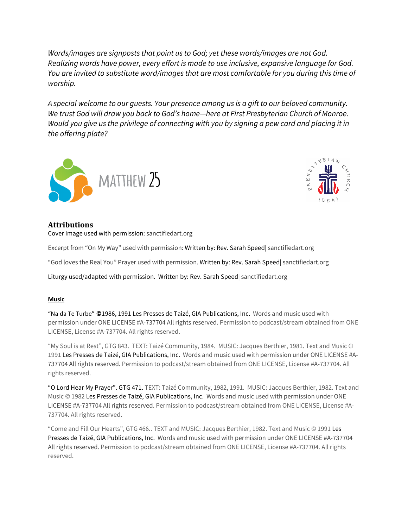*Words/images are signposts that point us to God; yet these words/images are not God. Realizing words have power, every effort is made to use inclusive, expansive language for God. You are invited to substitute word/images that are most comfortable for you during this time of worship.*

*A special welcome to our guests. Your presence among us is a gift to our beloved community. We trust God will draw you back to God's home—here at First Presbyterian Church of Monroe. Would you give us the privilege of connecting with you by signing a pew card and placing it in the offering plate?*





### **Attributions**

Cover Image used with permission: sanctifiedart.org

Excerpt from "On My Way" used with permission: Written by: Rev. Sarah Speed| sanctifiedart.org

"God loves the Real You" Prayer used with permission. Written by: Rev. Sarah Speed| sanctifiedart.org

Liturgy used/adapted with permission. Written by: Rev. Sarah Speed| sanctifiedart.org

#### **Music**

"Na da Te Turbe" **©**1986, 1991 Les Presses de Taizé, GIA Publications, Inc. Words and music used with permission under ONE LICENSE #A-737704 All rights reserved. Permission to podcast/stream obtained from ONE LICENSE, License #A-737704. All rights reserved.

"My Soul is at Rest", GTG 843. TEXT: Taizé Community, 1984. MUSIC: Jacques Berthier, 1981. Text and Music © 1991 Les Presses de Taizé, GIA Publications, Inc. Words and music used with permission under ONE LICENSE #A-737704 All rights reserved. Permission to podcast/stream obtained from ONE LICENSE, License #A-737704. All rights reserved.

"O Lord Hear My Prayer". GTG 471. TEXT: Taizé Community, 1982, 1991. MUSIC: Jacques Berthier, 1982. Text and Music © 1982 Les Presses de Taizé, GIA Publications, Inc. Words and music used with permission under ONE LICENSE #A-737704 All rights reserved. Permission to podcast/stream obtained from ONE LICENSE, License #A-737704. All rights reserved.

"Come and Fill Our Hearts", GTG 466.. TEXT and MUSIC: Jacques Berthier, 1982. Text and Music © 1991 Les Presses de Taizé, GIA Publications, Inc. Words and music used with permission under ONE LICENSE #A-737704 All rights reserved. Permission to podcast/stream obtained from ONE LICENSE, License #A-737704. All rights reserved.